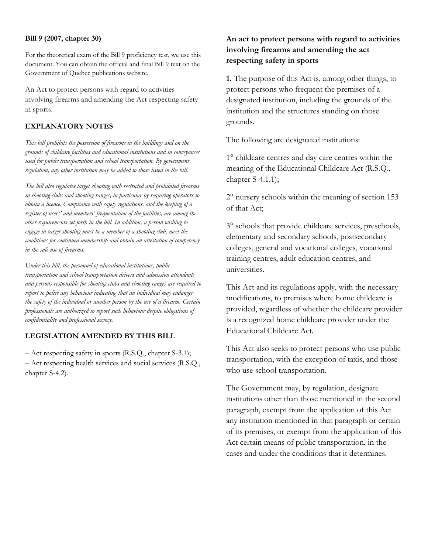#### **Bill 9 (2007, chapter 30)**

For the theoretical exam of the Bill 9 proficiency test, we use this document. You can obtain the official and final Bill 9 text on the Government of Quebec publications website.

An Act to protect persons with regard to activities involving firearms and amending the Act respecting safety in sports.

#### **EXPLANATORY NOTES**

*This bill prohibits the possession of firearms in the buildings and on the grounds of childcare facilities and educational institutions and in conveyances used for public transportation and school transportation. By government regulation, any other institution may be added to those listed in the bill.*

*The bill also regulates target shooting with restricted and prohibited firearms in shooting clubs and shooting ranges, in particular by requiring operators to obtain a licence. Compliance with safety regulations, and the keeping of a register of users' and members' frequentation of the facilities, are among the other requirements set forth in the bill. In addition, a person wishing to engage in target shooting must be a member of a shooting club, meet the conditions for continued membership and obtain an attestation of competency in the safe use of firearms.*

*Under this bill, the personnel of educational institutions, public transportation and school transportation drivers and admission attendants and persons responsible for shooting clubs and shooting ranges are required to report to police any behaviour indicating that an individual may endanger the safety of the individual or another person by the use of a firearm. Certain professionals are authorized to report such behaviour despite obligations of confidentiality and professional secrecy.*

### **LEGISLATION AMENDED BY THIS BILL**

– Act respecting safety in sports (R.S.Q., chapter S-3.1); – Act respecting health services and social services (R.S.Q., chapter S-4.2).

# **An act to protect persons with regard to activities involving firearms and amending the act respecting safety in sports**

**1.** The purpose of this Act is, among other things, to protect persons who frequent the premises of a designated institution, including the grounds of the institution and the structures standing on those grounds.

The following are designated institutions:

1° childcare centres and day care centres within the meaning of the Educational Childcare Act (R.S.Q., chapter S-4.1.1);

2° nursery schools within the meaning of section 153 of that Act;

3° schools that provide childcare services, preschools, elementary and secondary schools, postsecondary colleges, general and vocational colleges, vocational training centres, adult education centres, and universities.

This Act and its regulations apply, with the necessary modifications, to premises where home childcare is provided, regardless of whether the childcare provider is a recognized home childcare provider under the Educational Childcare Act.

This Act also seeks to protect persons who use public transportation, with the exception of taxis, and those who use school transportation.

The Government may, by regulation, designate institutions other than those mentioned in the second paragraph, exempt from the application of this Act any institution mentioned in that paragraph or certain of its premises, or exempt from the application of this Act certain means of public transportation, in the cases and under the conditions that it determines.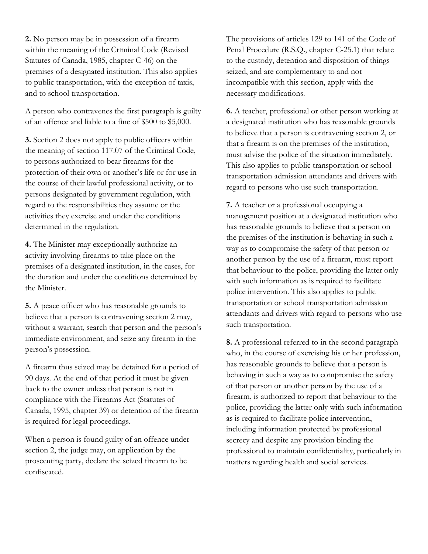**2.** No person may be in possession of a firearm within the meaning of the Criminal Code (Revised Statutes of Canada, 1985, chapter C-46) on the premises of a designated institution. This also applies to public transportation, with the exception of taxis, and to school transportation.

A person who contravenes the first paragraph is guilty of an offence and liable to a fine of \$500 to \$5,000.

**3.** Section 2 does not apply to public officers within the meaning of section 117.07 of the Criminal Code, to persons authorized to bear firearms for the protection of their own or another's life or for use in the course of their lawful professional activity, or to persons designated by government regulation, with regard to the responsibilities they assume or the activities they exercise and under the conditions determined in the regulation.

**4.** The Minister may exceptionally authorize an activity involving firearms to take place on the premises of a designated institution, in the cases, for the duration and under the conditions determined by the Minister.

**5.** A peace officer who has reasonable grounds to believe that a person is contravening section 2 may, without a warrant, search that person and the person's immediate environment, and seize any firearm in the person's possession.

A firearm thus seized may be detained for a period of 90 days. At the end of that period it must be given back to the owner unless that person is not in compliance with the Firearms Act (Statutes of Canada, 1995, chapter 39) or detention of the firearm is required for legal proceedings.

When a person is found guilty of an offence under section 2, the judge may, on application by the prosecuting party, declare the seized firearm to be confiscated.

The provisions of articles 129 to 141 of the Code of Penal Procedure (R.S.Q., chapter C-25.1) that relate to the custody, detention and disposition of things seized, and are complementary to and not incompatible with this section, apply with the necessary modifications.

**6.** A teacher, professional or other person working at a designated institution who has reasonable grounds to believe that a person is contravening section 2, or that a firearm is on the premises of the institution, must advise the police of the situation immediately. This also applies to public transportation or school transportation admission attendants and drivers with regard to persons who use such transportation.

**7.** A teacher or a professional occupying a management position at a designated institution who has reasonable grounds to believe that a person on the premises of the institution is behaving in such a way as to compromise the safety of that person or another person by the use of a firearm, must report that behaviour to the police, providing the latter only with such information as is required to facilitate police intervention. This also applies to public transportation or school transportation admission attendants and drivers with regard to persons who use such transportation.

**8.** A professional referred to in the second paragraph who, in the course of exercising his or her profession, has reasonable grounds to believe that a person is behaving in such a way as to compromise the safety of that person or another person by the use of a firearm, is authorized to report that behaviour to the police, providing the latter only with such information as is required to facilitate police intervention, including information protected by professional secrecy and despite any provision binding the professional to maintain confidentiality, particularly in matters regarding health and social services.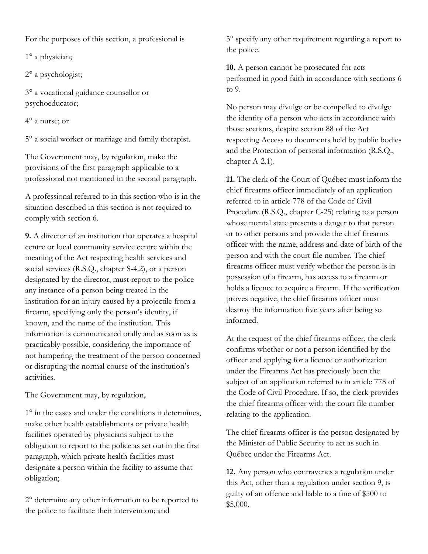For the purposes of this section, a professional is

1° a physician;

2° a psychologist;

3° a vocational guidance counsellor or psychoeducator;

4° a nurse; or

5° a social worker or marriage and family therapist.

The Government may, by regulation, make the provisions of the first paragraph applicable to a professional not mentioned in the second paragraph.

A professional referred to in this section who is in the situation described in this section is not required to comply with section 6.

**9.** A director of an institution that operates a hospital centre or local community service centre within the meaning of the Act respecting health services and social services (R.S.Q., chapter S-4.2), or a person designated by the director, must report to the police any instance of a person being treated in the institution for an injury caused by a projectile from a firearm, specifying only the person's identity, if known, and the name of the institution. This information is communicated orally and as soon as is practicably possible, considering the importance of not hampering the treatment of the person concerned or disrupting the normal course of the institution's activities.

The Government may, by regulation,

1° in the cases and under the conditions it determines, make other health establishments or private health facilities operated by physicians subject to the obligation to report to the police as set out in the first paragraph, which private health facilities must designate a person within the facility to assume that obligation;

2° determine any other information to be reported to the police to facilitate their intervention; and

3° specify any other requirement regarding a report to the police.

**10.** A person cannot be prosecuted for acts performed in good faith in accordance with sections 6 to 9.

No person may divulge or be compelled to divulge the identity of a person who acts in accordance with those sections, despite section 88 of the Act respecting Access to documents held by public bodies and the Protection of personal information (R.S.Q., chapter A-2.1).

**11.** The clerk of the Court of Québec must inform the chief firearms officer immediately of an application referred to in article 778 of the Code of Civil Procedure (R.S.Q., chapter C-25) relating to a person whose mental state presents a danger to that person or to other persons and provide the chief firearms officer with the name, address and date of birth of the person and with the court file number. The chief firearms officer must verify whether the person is in possession of a firearm, has access to a firearm or holds a licence to acquire a firearm. If the verification proves negative, the chief firearms officer must destroy the information five years after being so informed.

At the request of the chief firearms officer, the clerk confirms whether or not a person identified by the officer and applying for a licence or authorization under the Firearms Act has previously been the subject of an application referred to in article 778 of the Code of Civil Procedure. If so, the clerk provides the chief firearms officer with the court file number relating to the application.

The chief firearms officer is the person designated by the Minister of Public Security to act as such in Québec under the Firearms Act.

**12.** Any person who contravenes a regulation under this Act, other than a regulation under section 9, is guilty of an offence and liable to a fine of \$500 to \$5,000.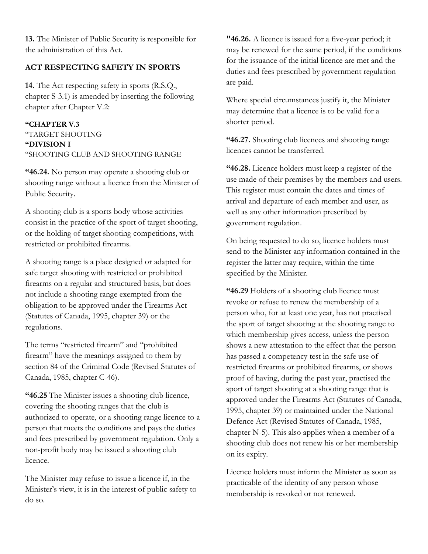**13.** The Minister of Public Security is responsible for the administration of this Act.

## **ACT RESPECTING SAFETY IN SPORTS**

**14.** The Act respecting safety in sports (R.S.Q., chapter S-3.1) is amended by inserting the following chapter after Chapter V.2:

### **"CHAPTER V.3**

## "TARGET SHOOTING **"DIVISION I** "SHOOTING CLUB AND SHOOTING RANGE

**"46.24.** No person may operate a shooting club or shooting range without a licence from the Minister of Public Security.

A shooting club is a sports body whose activities consist in the practice of the sport of target shooting, or the holding of target shooting competitions, with restricted or prohibited firearms.

A shooting range is a place designed or adapted for safe target shooting with restricted or prohibited firearms on a regular and structured basis, but does not include a shooting range exempted from the obligation to be approved under the Firearms Act (Statutes of Canada, 1995, chapter 39) or the regulations.

The terms "restricted firearm" and "prohibited firearm" have the meanings assigned to them by section 84 of the Criminal Code (Revised Statutes of Canada, 1985, chapter C-46).

**"46.25** The Minister issues a shooting club licence, covering the shooting ranges that the club is authorized to operate, or a shooting range licence to a person that meets the conditions and pays the duties and fees prescribed by government regulation. Only a non-profit body may be issued a shooting club licence.

The Minister may refuse to issue a licence if, in the Minister's view, it is in the interest of public safety to do so.

**"46.26.** A licence is issued for a five-year period; it may be renewed for the same period, if the conditions for the issuance of the initial licence are met and the duties and fees prescribed by government regulation are paid.

Where special circumstances justify it, the Minister may determine that a licence is to be valid for a shorter period.

**"46.27.** Shooting club licences and shooting range licences cannot be transferred.

**"46.28.** Licence holders must keep a register of the use made of their premises by the members and users. This register must contain the dates and times of arrival and departure of each member and user, as well as any other information prescribed by government regulation.

On being requested to do so, licence holders must send to the Minister any information contained in the register the latter may require, within the time specified by the Minister.

**"46.29** Holders of a shooting club licence must revoke or refuse to renew the membership of a person who, for at least one year, has not practised the sport of target shooting at the shooting range to which membership gives access, unless the person shows a new attestation to the effect that the person has passed a competency test in the safe use of restricted firearms or prohibited firearms, or shows proof of having, during the past year, practised the sport of target shooting at a shooting range that is approved under the Firearms Act (Statutes of Canada, 1995, chapter 39) or maintained under the National Defence Act (Revised Statutes of Canada, 1985, chapter N-5). This also applies when a member of a shooting club does not renew his or her membership on its expiry.

Licence holders must inform the Minister as soon as practicable of the identity of any person whose membership is revoked or not renewed.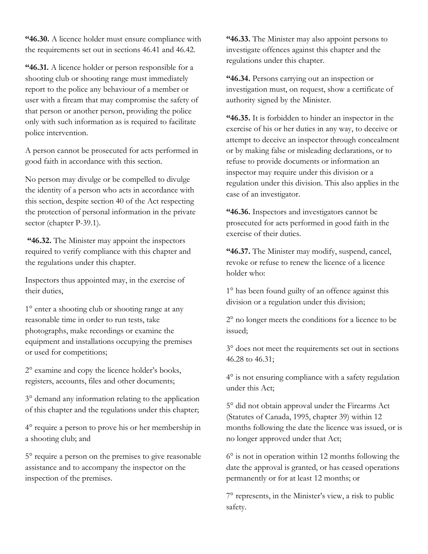**"46.30.** A licence holder must ensure compliance with the requirements set out in sections 46.41 and 46.42.

**"46.31.** A licence holder or person responsible for a shooting club or shooting range must immediately report to the police any behaviour of a member or user with a fiream that may compromise the safety of that person or another person, providing the police only with such information as is required to facilitate police intervention.

A person cannot be prosecuted for acts performed in good faith in accordance with this section.

No person may divulge or be compelled to divulge the identity of a person who acts in accordance with this section, despite section 40 of the Act respecting the protection of personal information in the private sector (chapter P-39.1).

**"46.32.** The Minister may appoint the inspectors required to verify compliance with this chapter and the regulations under this chapter.

Inspectors thus appointed may, in the exercise of their duties,

1° enter a shooting club or shooting range at any reasonable time in order to run tests, take photographs, make recordings or examine the equipment and installations occupying the premises or used for competitions;

2° examine and copy the licence holder's books, registers, accounts, files and other documents;

3° demand any information relating to the application of this chapter and the regulations under this chapter;

4° require a person to prove his or her membership in a shooting club; and

5° require a person on the premises to give reasonable assistance and to accompany the inspector on the inspection of the premises.

**"46.33.** The Minister may also appoint persons to investigate offences against this chapter and the regulations under this chapter.

**"46.34.** Persons carrying out an inspection or investigation must, on request, show a certificate of authority signed by the Minister.

**"46.35.** It is forbidden to hinder an inspector in the exercise of his or her duties in any way, to deceive or attempt to deceive an inspector through concealment or by making false or misleading declarations, or to refuse to provide documents or information an inspector may require under this division or a regulation under this division. This also applies in the case of an investigator.

**"46.36.** Inspectors and investigators cannot be prosecuted for acts performed in good faith in the exercise of their duties.

**"46.37.** The Minister may modify, suspend, cancel, revoke or refuse to renew the licence of a licence holder who:

1° has been found guilty of an offence against this division or a regulation under this division;

2° no longer meets the conditions for a licence to be issued;

3° does not meet the requirements set out in sections 46.28 to 46.31;

4° is not ensuring compliance with a safety regulation under this Act;

5° did not obtain approval under the Firearms Act (Statutes of Canada, 1995, chapter 39) within 12 months following the date the licence was issued, or is no longer approved under that Act;

6° is not in operation within 12 months following the date the approval is granted, or has ceased operations permanently or for at least 12 months; or

7° represents, in the Minister's view, a risk to public safety.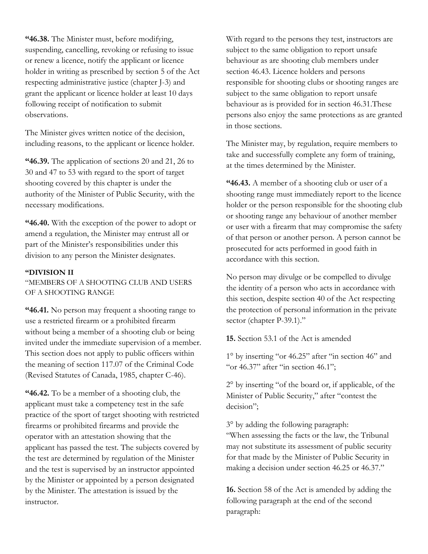**"46.38.** The Minister must, before modifying, suspending, cancelling, revoking or refusing to issue or renew a licence, notify the applicant or licence holder in writing as prescribed by section 5 of the Act respecting administrative justice (chapter J-3) and grant the applicant or licence holder at least 10 days following receipt of notification to submit observations.

The Minister gives written notice of the decision, including reasons, to the applicant or licence holder.

**"46.39.** The application of sections 20 and 21, 26 to 30 and 47 to 53 with regard to the sport of target shooting covered by this chapter is under the authority of the Minister of Public Security, with the necessary modifications.

**"46.40.** With the exception of the power to adopt or amend a regulation, the Minister may entrust all or part of the Minister's responsibilities under this division to any person the Minister designates.

#### **"DIVISION II**

"MEMBERS OF A SHOOTING CLUB AND USERS OF A SHOOTING RANGE

**"46.41.** No person may frequent a shooting range to use a restricted firearm or a prohibited firearm without being a member of a shooting club or being invited under the immediate supervision of a member. This section does not apply to public officers within the meaning of section 117.07 of the Criminal Code (Revised Statutes of Canada, 1985, chapter C-46).

**"46.42.** To be a member of a shooting club, the applicant must take a competency test in the safe practice of the sport of target shooting with restricted firearms or prohibited firearms and provide the operator with an attestation showing that the applicant has passed the test. The subjects covered by the test are determined by regulation of the Minister and the test is supervised by an instructor appointed by the Minister or appointed by a person designated by the Minister. The attestation is issued by the instructor.

With regard to the persons they test, instructors are subject to the same obligation to report unsafe behaviour as are shooting club members under section 46.43. Licence holders and persons responsible for shooting clubs or shooting ranges are subject to the same obligation to report unsafe behaviour as is provided for in section 46.31.These persons also enjoy the same protections as are granted in those sections.

The Minister may, by regulation, require members to take and successfully complete any form of training, at the times determined by the Minister.

**"46.43.** A member of a shooting club or user of a shooting range must immediately report to the licence holder or the person responsible for the shooting club or shooting range any behaviour of another member or user with a firearm that may compromise the safety of that person or another person. A person cannot be prosecuted for acts performed in good faith in accordance with this section.

No person may divulge or be compelled to divulge the identity of a person who acts in accordance with this section, despite section 40 of the Act respecting the protection of personal information in the private sector (chapter P-39.1)."

**15.** Section 53.1 of the Act is amended

1° by inserting "or 46.25" after "in section 46" and "or 46.37" after "in section 46.1";

2° by inserting "of the board or, if applicable, of the Minister of Public Security," after "contest the decision";

3° by adding the following paragraph: "When assessing the facts or the law, the Tribunal may not substitute its assessment of public security for that made by the Minister of Public Security in making a decision under section 46.25 or 46.37."

**16.** Section 58 of the Act is amended by adding the following paragraph at the end of the second paragraph: